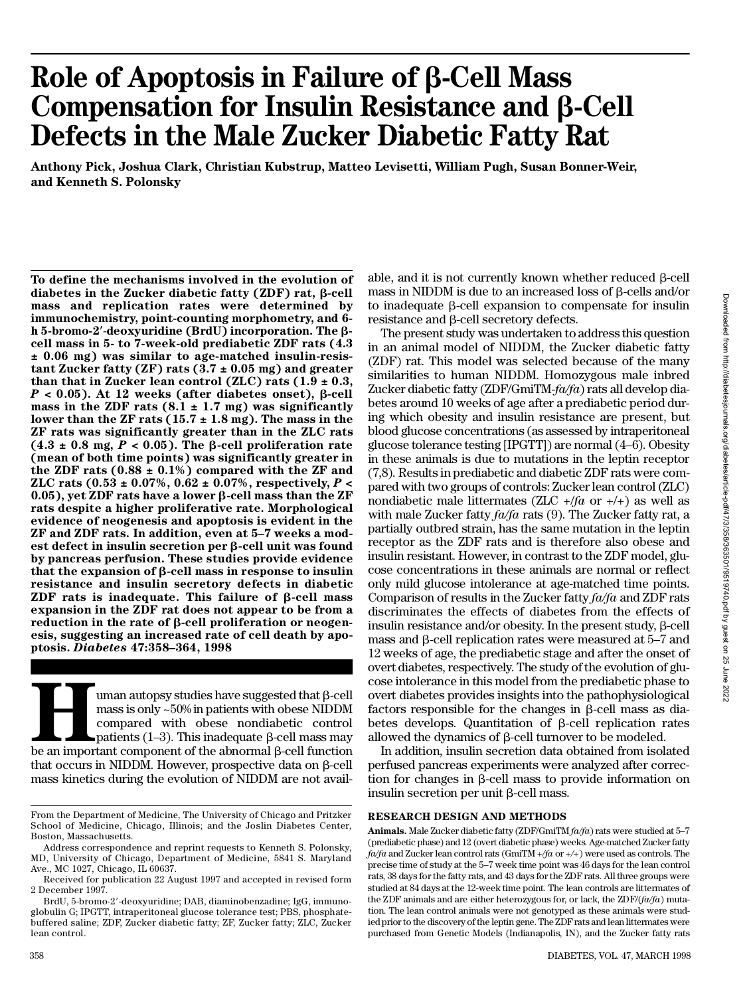# **Role of Apoptosis in Failure of** b**-Cell Mass Compensation for Insulin Resistance and β-Cell Defects in the Male Zucker Diabetic Fatty Rat**

Anthony Pick, Joshua Clark, Christian Kubstrup, Matteo Levisetti, William Pugh, Susan Bonner-Weir, **and Kenneth S. Polonsky**

**To define the mechanisms involved in the evolution of** diabetes in the Zucker diabetic fatty (ZDF) rat, β-cell **mass and replication rates were determined by** immunochemistry, point-counting morphometry, and 6**h** 5-bromo-2'-deoxyuridine (BrdU) incorporation. The β**cell mass in 5- to 7-week-old prediabetic ZDF rats (4.3 ± 0.06 mg) was similar to age-matched insulin-resistant Zucker fatty (ZF) rats (3.7 ± 0.05 mg) and greater than that in Zucker lean control (ZLC) rats (1.9 ± 0.3,**  $P$  < 0.05). At 12 weeks (after diabetes onset),  $\beta$ -cell mass in the ZDF rats  $(8.1 \pm 1.7 \text{ mg})$  was significantly **lower than the ZF rats (15.7 ± 1.8 mg). The mass in the ZF rats was significantly greater than in the ZLC rats** (4.3  $\pm$  0.8 mg,  $P$  < 0.05). The  $\beta$ -cell proliferation rate **(mean of both time points) was significantly greater in the ZDF rats (0.88 ± 0.1%) compared with the ZF and ZLC rats (0.53 ± 0.07%, 0.62 ± 0.07%, respectively,** *P* **< 0.05**), yet ZDF rats have a lower  $\beta$ -cell mass than the ZF **rats despite a higher proliferative rate. Morphological evidence of neogenesis and apoptosis is evident in the ZF and ZDF rats. In addition, even at 5–7 weeks a modest defect in insulin secretion per** b**-cell unit was found by pancreas perfusion. These studies provide evidence** that the expansion of  $\beta$ -cell mass in response to insulin **resistance and insulin secretory defects in diabetic ZDF rats is inadequate. This failure of** b**-cell mass expansion in the ZDF rat does not appear to be from a reduction in the rate of** b**-cell proliferation or neogenesis, suggesting an increased rate of cell death by apoptosis.** *Diabetes* **47:358–364, 1998**

**Hereafter** that parameters are suggested that  $\beta$ -cell mass is only ~50% in patients with obese NIDDM compared with obese nondiabetic control patients (1–3). This inadequate  $\beta$ -cell mass may be an important component uman autopsy studies have suggested that  $\beta$ -cell mass is only ~50% in patients with obese NIDDM compared with obese nondiabetic control patients  $(1-3)$ . This inadequate  $\beta$ -cell mass may that occurs in NIDDM. However, prospective data on  $\beta$ -cell mass kinetics during the evolution of NIDDM are not available, and it is not currently known whether reduced  $\beta$ -cell mass in NIDDM is due to an increased loss of  $\beta$ -cells and/or to inadequate β-cell expansion to compensate for insulin resistance and β-cell secretory defects.

The present study was undertaken to address this question in an animal model of NIDDM, the Zucker diabetic fatty (ZDF) rat. This model was selected because of the many similarities to human NIDDM. Homozygous male inbred Zucker diabetic fatty (ZDF/GmiTM- $fa/fa$ ) rats all develop diabetes around 10 weeks of age after a prediabetic period during which obesity and insulin resistance are present, but blood glucose concentrations (as assessed by intraperitoneal glucose tolerance testing [IPGTT]) are normal (4–6). Obesity in these animals is due to mutations in the leptin receptor (7,8). Results in prediabetic and diabetic ZDF rats were compared with two groups of controls: Zucker lean control (ZLC) nondiabetic male littermates (ZLC  $+/fa$  or  $+/+)$  as well as with male Zucker fatty *fa/fa* rats (9). The Zucker fatty rat, a partially outbred strain, has the same mutation in the leptin receptor as the ZDF rats and is therefore also obese and insulin resistant. However, in contrast to the ZDF model, glucose concentrations in these animals are normal or reflect only mild glucose intolerance at age-matched time points. Comparison of results in the Zucker fatty  $fa/fa$  and ZDF rats discriminates the effects of diabetes from the effects of insulin resistance and/or obesity. In the present study,  $\beta$ -cell mass and  $\beta$ -cell replication rates were measured at 5–7 and 12 weeks of age, the prediabetic stage and after the onset of overt diabetes, respectively. The study of the evolution of glucose intolerance in this model from the prediabetic phase to overt diabetes provides insights into the pathophysiological factors responsible for the changes in  $\beta$ -cell mass as diabetes develops. Quantitation of  $\beta$ -cell replication rates allowed the dynamics of  $\beta$ -cell turnover to be modeled.

In addition, insulin secretion data obtained from isolated perfused pancreas experiments were analyzed after correction for changes in  $\beta$ -cell mass to provide information on insulin secretion per unit  $\beta$ -cell mass.

### **RESEARCH DESIGN AND METHODS**

Animals. Male Zucker diabetic fatty (ZDF/GmiTM  $fa/fa$ ) rats were studied at 5-7 (prediabetic phase) and 12 (overt diabetic phase) weeks. Age-matched Zucker fatty *fa/fa* and Zucker lean control rats (GmiTM *+/fa* or *+ / +*) were used as controls. The precise time of study at the 5–7 week time point was 46 days for the lean control rats, 38 days for the fatty rats, and 43 days for the ZDF rats. All three groups were studied at 84 days at the 12-week time point. The lean controls are littermates of the ZDF animals and are either heterozygous for, or lack, the ZDF/( $fa/fa$ ) mutation. The lean control animals were not genotyped as these animals were studied prior to the discovery of the leptin gene. The ZDF rats and lean littermates were purchased from Genetic Models (Indianapolis, IN), and the Zucker fatty rats

From the Department of Medicine, The University of Chicago and Pritzker School of Medicine, Chicago, Illinois; and the Joslin Diabetes Center, Boston, Massachusetts.

Address correspondence and reprint requests to Kenneth S. Polonsky, MD, University of Chicago, Department of Medicine, 5841 S. Maryland Ave., MC 1027, Chicago, IL 60637.

Received for publication 22 August 1997 and accepted in revised form 2 December 1997.

BrdU, 5-bromo-2'-deoxyuridine; DAB, diaminobenzadine; IgG, immunoglobulin G; IPGTT, intraperitoneal glucose tolerance test; PBS, phosphatebuffered saline; ZDF, Zucker diabetic fatty; ZF, Zucker fatty; ZLC, Zucker lean control.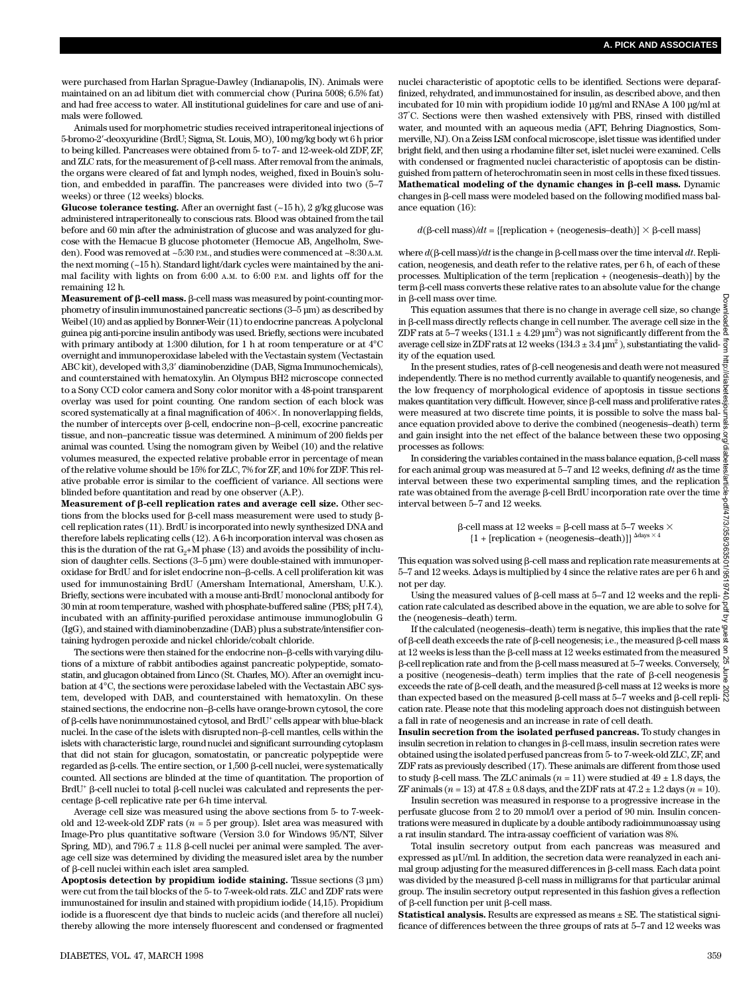were purchased from Harlan Sprague-Dawley (Indianapolis, IN). Animals were maintained on an ad libitum diet with commercial chow (Purina 5008; 6.5% fat) and had free access to water. All institutional guidelines for care and use of animals were followed.

Animals used for morphometric studies received intraperitoneal injections of 5-bromo-2'-deoxyuridine (BrdU; Sigma, St. Louis, MO), 100 mg/kg body wt 6 h prior to being killed. Pancreases were obtained from 5- to 7- and 12-week-old ZDF, ZF, and ZLC rats, for the measurement of  $\beta$ -cell mass. After removal from the animals, the organs were cleared of fat and lymph nodes, weighed, fixed in Bouin's solution, and embedded in paraffin. The pancreases were divided into two (5–7 weeks) or three (12 weeks) blocks.

**Glucose tolerance testing.** After an overnight fast (~15 h), 2 g/kg glucose was administered intraperitoneally to conscious rats. Blood was obtained from the tail before and 60 min after the administration of glucose and was analyzed for glucose with the Hemacue B glucose photometer (Hemocue AB, Angelholm, Sweden). Food was removed at  $\sim$ 5:30 p.m., and studies were commenced at  $\sim$ 8:30 A.M. the next morning (~15 h). Standard light/dark cycles were maintained by the animal facility with lights on from 6:00 A.M. to 6:00 P.M. and lights off for the remaining 12 h.

**Measurement of**  $\beta$ **-cell mass.**  $\beta$ **-cell mass was measured by point-counting mor**phometry of insulin immunostained pancreatic sections (3–5 µm) as described by Weibel (10) and as applied by Bonner-Weir (11) to endocrine pancreas. A polyclonal guinea pig anti-porcine insulin antibody was used. Briefly, sections were incubated with primary antibody at 1:300 dilution, for 1 h at room temperature or at 4°C overnight and immunoperoxidase labeled with the Vectastain system (Vectastain ABC kit), developed with 3,3' diaminobenzidine (DAB, Sigma Immunochemicals), and counterstained with hematoxylin. An Olympus BH2 microscope connected to a Sony CCD color camera and Sony color monitor with a 48-point transparent overlay was used for point counting. One random section of each block was scored systematically at a final magnification of  $406\times$ . In nonoverlapping fields, the number of intercepts over  $\beta$ -cell, endocrine non- $\beta$ -cell, exocrine pancreatic tissue, and non–pancreatic tissue was determined. A minimum of 200 fields per animal was counted. Using the nomogram given by Weibel (10) and the relative volumes measured, the expected relative probable error in percentage of mean of the relative volume should be 15% for ZLC, 7% for ZF, and 10% for ZDF. This relative probable error is similar to the coefficient of variance. All sections were blinded before quantitation and read by one observer (A.P.).

**Measurement of** b**-cell replication rates and average cell size.** Other sections from the blocks used for b-cell mass measurement were used to study bcell replication rates (11). BrdU is incorporated into newly synthesized DNA and therefore labels replicating cells (12). A 6-h incorporation interval was chosen as this is the duration of the rat  $G_2+M$  phase (13) and avoids the possibility of inclusion of daughter cells. Sections (3–5 µm) were double-stained with immunoperoxidase for BrdU and for islet endocrine non–b-cells. A cell proliferation kit was used for immunostaining BrdU (Amersham International, Amersham, U.K.). Briefly, sections were incubated with a mouse anti-BrdU monoclonal antibody for 30 min at room temperature, washed with phosphate-buffered saline (PBS; pH 7.4), incubated with an affinity-purified peroxidase antimouse immunoglobulin G (IgG), and stained with diaminobenzadine (DAB) plus a substrate/intensifier containing hydrogen peroxide and nickel chloride/cobalt chloride.

The sections were then stained for the endocrine non- $\beta$ -cells with varying dilutions of a mixture of rabbit antibodies against pancreatic polypeptide, somatostatin, and glucagon obtained from Linco (St. Charles, MO). After an overnight incubation at 4°C, the sections were peroxidase labeled with the Vectastain ABC system, developed with DAB, and counterstained with hematoxylin. On these stained sections, the endocrine non-β-cells have orange-brown cytosol, the core of  $\beta$ -cells have nonimmunostained cytosol, and BrdU<sup>+</sup> cells appear with blue-black nuclei. In the case of the islets with disrupted non- $\beta$ -cell mantles, cells within the islets with characteristic large, round nuclei and significant surrounding cytoplasm that did not stain for glucagon, somatostatin, or pancreatic polypeptide were regarded as  $\beta$ -cells. The entire section, or 1,500  $\beta$ -cell nuclei, were systematically counted. All sections are blinded at the time of quantitation. The proportion of  $BrdU^+$   $\beta$ -cell nuclei to total  $\beta$ -cell nuclei was calculated and represents the percentage  $\beta$ -cell replicative rate per 6-h time interval.

Average cell size was measured using the above sections from 5- to 7-weekold and 12-week-old ZDF rats  $(n = 5$  per group). Islet area was measured with Image-Pro plus quantitative software (Version 3.0 for Windows 95/NT, Silver Spring, MD), and 796.7  $\pm$  11.8 β-cell nuclei per animal were sampled. The average cell size was determined by dividing the measured islet area by the number of b-cell nuclei within each islet area sampled.

Apoptosis detection by propidium iodide staining. Tissue sections  $(3 \mu m)$ were cut from the tail blocks of the 5- to 7-week-old rats. ZLC and ZDF rats were immunostained for insulin and stained with propidium iodide (14,15). Propidium iodide is a fluorescent dye that binds to nucleic acids (and therefore all nuclei) thereby allowing the more intensely fluorescent and condensed or fragmented nuclei characteristic of apoptotic cells to be identified. Sections were deparaffinized, rehydrated, and immunostained for insulin, as described above, and then incubated for 10 min with propidium iodide 10 µg/ml and RNAse A 100 µg/ml at 3 7°C. Sections were then washed extensively with PBS, rinsed with distilled water, and mounted with an aqueous media (AFT, Behring Diagnostics, Sommerville, NJ). On a Zeiss LSM confocal microscope, islet tissue was identified under bright field, and then using a rhodamine filter set, islet nuclei were examined. Cells with condensed or fragmented nuclei characteristic of apoptosis can be distinguished from pattern of heterochromatin seen in most cells in these fixed tissues. **Mathematical modeling of the dynamic changes in β-cell mass. Dynamic** changes in b-cell mass were modeled based on the following modified mass balance equation (16):

 $d(\beta$ -cell mass)/*dt* = {[replication + (neogenesis-death)]  $\times$   $\beta$ -cell mass}

where  $d(\beta$ -cell mass)/ $dt$  is the change in  $\beta$ -cell mass over the time interval  $dt$ . Replication, neogenesis, and death refer to the relative rates, per 6 h, of each of these processes. Multiplication of the term [replication + (neogenesis–death)] by the term  $\beta$ -cell mass converts these relative rates to an absolute value for the change in  $\beta$ -cell mass over time.

This equation assumes that there is no change in average cell size, so change in  $\beta$ -cell mass directly reflects change in cell number. The average cell size in the ZDF rats at 5–7 weeks ( $131.1 \pm 4.29 \,\mathrm{\upmu m^2})$  was not significantly different from the average cell size in ZDF rats at 12 weeks ( $134.3 \pm 3.4$   $\mu$ m<sup>2</sup>), substantiating the validity of the equation used.

In the present studies, rates of  $\beta$ -cell neogenesis and death were not measured  $\frac{\pi}{2}$ independently. There is no method currently available to quantify neogenesis, and the low frequency of morphological evidence of apoptosis in tissue sections makes quantitation very difficult. However, since  $\beta$ -cell mass and proliferative rates  $\frac{3}{2}$ were measured at two discrete time points, it is possible to solve the mass balance equation provided above to derive the combined (neogenesis–death) term and gain insight into the net effect of the balance between these two opposing processes as follows: Downloaded from http://diabetesjournals.org/diabetes/article-pdf/47/3/358/363501/9519740.pdf by guest on 25 June 2022

In considering the variables contained in the mass balance equation,  $\beta$ -cell mass for each animal group was measured at 5–7 and 12 weeks, defining dt as the time interval between these two experimental sampling times, and the replication rate was obtained from the average  $\beta$ -cell BrdU incorporation rate over the time interval between 5–7 and 12 weeks.

> $\beta$ -cell mass at 12 weeks =  $\beta$ -cell mass at 5–7 weeks  $\times$  ${1 + [replication + (neogenesis–death)]}^{\Delta days \times 4}$

This equation was solved using  $\beta$ -cell mass and replication rate measurements at  $\ddot{\ddot{\theta}}$ 5–7 and 12 weeks.  $\Delta$ days is multiplied by 4 since the relative rates are per 6 h and  $\frac{1}{\Im}$ not per day.

Using the measured values of  $\beta$ -cell mass at 5–7 and 12 weeks and the repli- $\frac{3}{6}$ cation rate calculated as described above in the equation, we are able to solve for  $\frac{a}{2}$ the (neogenesis–death) term.

If the calculated (neogenesis–death) term is negative, this implies that the rate  $\frac{\omega}{\pi}$ of  $\beta$ -cell death exceeds the rate of  $\beta$ -cell neogenesis; i.e., the measured  $\beta$ -cell mass  $\frac{\%}{\%}$ at 12 weeks is less than the  $\beta$ -cell mass at 12 weeks estimated from the measured  $\frac{9}{2}$  $\beta$ -cell replication rate and from the  $\beta$ -cell mass measured at 5–7 weeks. Conversely, a positive (neogenesis–death) term implies that the rate of  $\beta$ -cell neogenesis  $\frac{1}{\beta}$ exceeds the rate of  $\beta$ -cell death, and the measured  $\beta$ -cell mass at 12 weeks is more  $\beta$ than expected based on the measured  $\beta$ -cell mass at 5–7 weeks and  $\beta$ -cell repli- $\frac{1}{\alpha}$ cation rate. Please note that this modeling approach does not distinguish between a fall in rate of neogenesis and an increase in rate of cell death.

**Insulin secretion from the isolated perfused pancreas.** To study changes in insulin secretion in relation to changes in  $\beta$ -cell mass, insulin secretion rates were obtained using the isolated perfused pancreas from 5- to 7-week-old ZLC, ZF, and ZDF rats as previously described (17). These animals are different from those used to study  $\beta$ -cell mass. The ZLC animals ( $n = 11$ ) were studied at  $49 \pm 1.8$  days, the ZF animals  $(n = 13)$  at  $47.8 \pm 0.8$  days, and the ZDF rats at  $47.2 \pm 1.2$  days  $(n = 10)$ .

Insulin secretion was measured in response to a progressive increase in the perfusate glucose from 2 to 20 mmol/l over a period of 90 min. Insulin concentrations were measured in duplicate by a double antibody radioimmunoassay using a rat insulin standard. The intra-assay coefficient of variation was 8%.

Total insulin secretory output from each pancreas was measured and expressed as µU/ml. In addition, the secretion data were reanalyzed in each animal group adjusting for the measured differences in  $\beta$ -cell mass. Each data point was divided by the measured  $\beta$ -cell mass in milligrams for that particular animal group. The insulin secretory output represented in this fashion gives a reflection of β-cell function per unit β-cell mass.

**Statistical analysis.** Results are expressed as means ± SE. The statistical significance of differences between the three groups of rats at 5–7 and 12 weeks was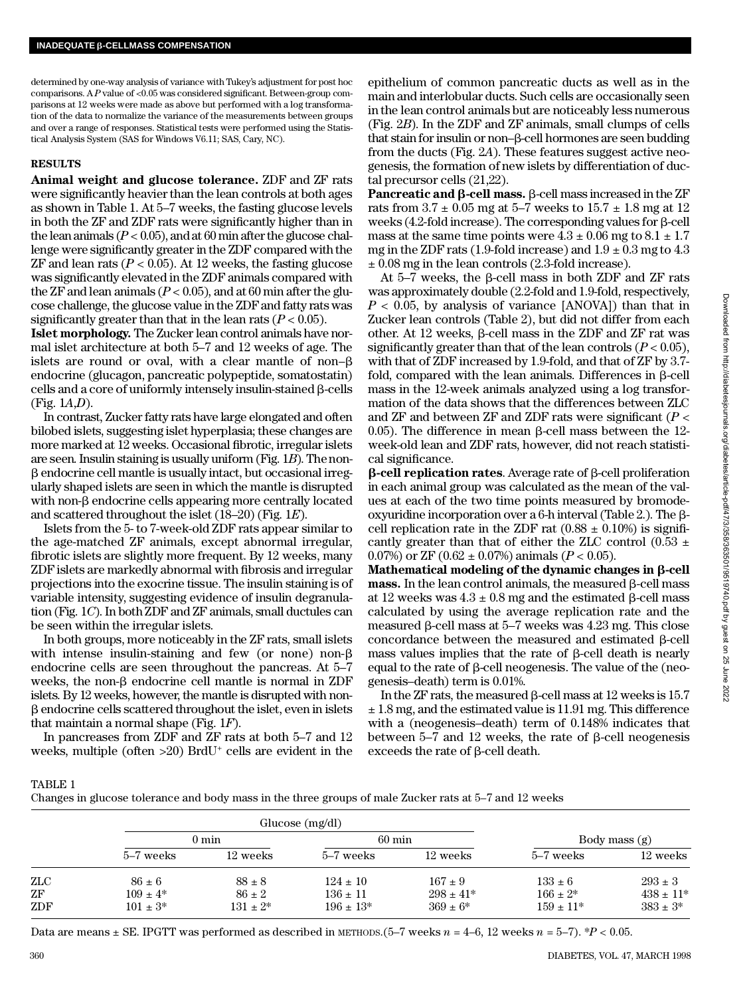determined by one-way analysis of variance with Tukey's adjustment for post hoc comparisons. A P value of <0.05 was considered significant. Between-group comparisons at 12 weeks were made as above but performed with a log transformation of the data to normalize the variance of the measurements between groups and over a range of responses. Statistical tests were performed using the Statistical Analysis System (SAS for Windows V6.11; SAS, Cary, NC).

## **RESULTS**

**Animal weight and glucose tolerance.** ZDF and ZF rats were significantly heavier than the lean controls at both ages as shown in Table 1. At 5–7 weeks, the fasting glucose levels in both the ZF and ZDF rats were significantly higher than in the lean animals  $(P < 0.05)$ , and at 60 min after the glucose challenge were significantly greater in the ZDF compared with the  $ZF$  and lean rats ( $P < 0.05$ ). At 12 weeks, the fasting glucose was significantly elevated in the ZDF animals compared with the ZF and lean animals  $(P < 0.05)$ , and at 60 min after the glucose challenge, the glucose value in the ZDF and fatty rats was significantly greater than that in the lean rats  $(P < 0.05)$ .

**Islet morphology.** The Zucker lean control animals have normal islet architecture at both 5–7 and 12 weeks of age. The islets are round or oval, with a clear mantle of non– $\beta$ endocrine (glucagon, pancreatic polypeptide, somatostatin) cells and a core of uniformly intensely insulin-stained  $\beta$ -cells (Fig. 1*A*,*D*) .

In contrast, Zucker fatty rats have large elongated and often bilobed islets, suggesting islet hyperplasia; these changes are more marked at 12 weeks. Occasional fibrotic, irregular islets are seen. Insulin staining is usually uniform (Fig. 1*B*). The non- $\beta$  endocrine cell mantle is usually intact, but occasional irregularly shaped islets are seen in which the mantle is disrupted with non-β endocrine cells appearing more centrally located and scattered throughout the islet (18–20) (Fig. 1*E*) .

Islets from the 5- to 7-week-old ZDF rats appear similar to the age-matched ZF animals, except abnormal irregular, fibrotic islets are slightly more frequent. By 12 weeks, many ZDF islets are markedly abnormal with fibrosis and irregular projections into the exocrine tissue. The insulin staining is of variable intensity, suggesting evidence of insulin degranulation (Fig. 1*C*). In both ZDF and ZF animals, small ductules can be seen within the irregular islets.

In both groups, more noticeably in the ZF rats, small islets with intense insulin-staining and few (or none) non- $\beta$ endocrine cells are seen throughout the pancreas. At 5–7 weeks, the non- $\beta$  endocrine cell mantle is normal in ZDF islets. By 12 weeks, however, the mantle is disrupted with non- $\beta$  endocrine cells scattered throughout the islet, even in islets that maintain a normal shape (Fig. 1*F*) .

In pancreases from ZDF and ZF rats at both 5–7 and 12 weeks, multiple (often >20) BrdU<sup>+</sup> cells are evident in the

epithelium of common pancreatic ducts as well as in the main and interlobular ducts. Such cells are occasionally seen in the lean control animals but are noticeably less numerous (Fig. 2*B*). In the ZDF and ZF animals, small clumps of cells that stain for insulin or non–β-cell hormones are seen budding from the ducts (Fig. 2*A*). These features suggest active neogenesis, the formation of new islets by differentiation of ductal precursor cells (21,22).

**Pancreatic and** b**-cell mass.** b-cell mass increased in the ZF rats from  $3.7 \pm 0.05$  mg at  $5-7$  weeks to  $15.7 \pm 1.8$  mg at 12 weeks (4.2-fold increase). The corresponding values for  $\beta$ -cell mass at the same time points were  $4.3 \pm 0.06$  mg to  $8.1 \pm 1.7$ mg in the ZDF rats (1.9-fold increase) and  $1.9 \pm 0.3$  mg to 4.3 ± 0.08 mg in the lean controls (2.3-fold increase).

At  $5-7$  weeks, the  $\beta$ -cell mass in both ZDF and ZF rats was approximately double (2.2-fold and 1.9-fold, respectively, *P* < 0.05, by analysis of variance [ANOVA]) than that in Zucker lean controls (Table 2), but did not differ from each other. At 12 weeks,  $\beta$ -cell mass in the ZDF and ZF rat was significantly greater than that of the lean controls  $(P < 0.05)$ , with that of ZDF increased by 1.9-fold, and that of ZF by 3.7 fold, compared with the lean animals. Differences in B-cell mass in the 12-week animals analyzed using a log transformation of the data shows that the differences between ZLC and ZF and between ZF and ZDF rats were significant (*P* < 0.05). The difference in mean  $\beta$ -cell mass between the 12week-old lean and ZDF rats, however, did not reach statistical significance.

 $\beta$ -cell replication rates. Average rate of  $\beta$ -cell proliferation in each animal group was calculated as the mean of the values at each of the two time points measured by bromodeoxyuridine incorporation over a 6-h interval (Table 2.). The bcell replication rate in the ZDF rat  $(0.88 \pm 0.10\%)$  is significantly greater than that of either the ZLC control (0.53  $\pm$ 0.07%) or ZF (0.62  $\pm$  0.07%) animals ( $P < 0.05$ ).

Mathematical modeling of the dynamic changes in  $\beta$ -cell  $$ at 12 weeks was  $4.3 \pm 0.8$  mg and the estimated  $\beta$ -cell mass calculated by using the average replication rate and the measured  $\beta$ -cell mass at 5–7 weeks was 4.23 mg. This close concordance between the measured and estimated  $\beta$ -cell mass values implies that the rate of  $\beta$ -cell death is nearly equal to the rate of  $\beta$ -cell neogenesis. The value of the (neogenesis–death) term is 0.01%.

In the ZF rats, the measured  $\beta$ -cell mass at 12 weeks is 15.7  $\pm$  1.8 mg, and the estimated value is 11.91 mg. This difference with a (neogenesis–death) term of 0.148% indicates that between  $5-7$  and  $12$  weeks, the rate of  $\beta$ -cell neogenesis exceeds the rate of  $\beta$ -cell death.

TABLE 1

|  | Changes in glucose tolerance and body mass in the three groups of male Zucker rats at 5–7 and 12 weeks |
|--|--------------------------------------------------------------------------------------------------------|
|--|--------------------------------------------------------------------------------------------------------|

|     | Glucose (mg/dl) |               |                  |               |                 |                |
|-----|-----------------|---------------|------------------|---------------|-----------------|----------------|
|     | $0 \text{ min}$ |               | $60 \text{ min}$ |               | Body mass $(g)$ |                |
|     | 5–7 weeks       | 12 weeks      | 5–7 weeks        | 12 weeks      | 5–7 weeks       | 12 weeks       |
| ZLC | $86 \pm 6$      | $88 \pm 8$    | $124 \pm 10$     | $167 \pm 9$   | $133 \pm 6$     | $293 \pm 3$    |
| ZF  | $109 \pm 4^*$   | $86 \pm 2$    | $136 \pm 11$     | $298 \pm 41*$ | $166 \pm 2^*$   | $438 \pm 11^*$ |
| ZDF | $101 \pm 3^*$   | $131 \pm 2^*$ | $196 \pm 13*$    | $369 \pm 6^*$ | $159 \pm 11*$   | $383 \pm 3^*$  |

Data are means  $\pm$  SE. IPGTT was performed as described in METHODS.  $(5-7$  weeks  $n = 4-6$ , 12 weeks  $n = 5-7$ ).  $*P < 0.05$ .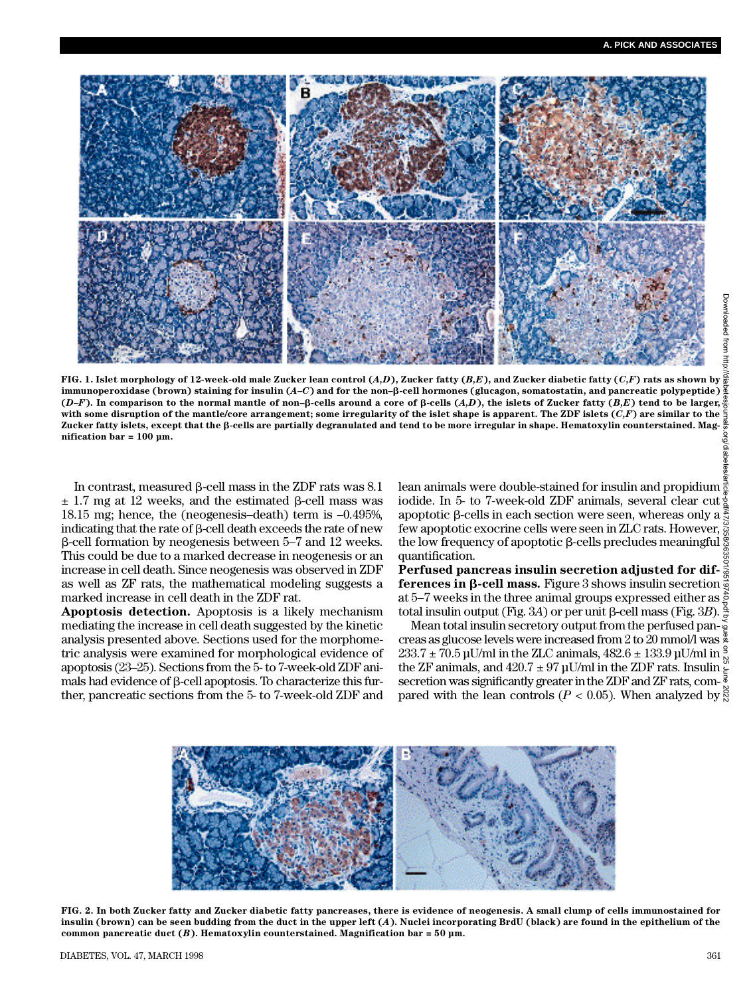Downloaded from http



**FI G. 1. Islet morphology of 12-week-old male Zucker lean control (***A , D***), Zucker fatty (***B , E***), and Zucker diabetic fatty (***C , F***) rats as shown by immunoperoxidase (brown) staining for insulin (***A – C***) and for the non–**b**-cell hormones (glucagon, somatostatin, and pancreatic polypeptide)** (*D*–*F*). In comparison to the normal mantle of non– $\beta$ -cells around a core of  $\beta$ -cells (*A,D*), the islets of Zucker fatty (*B,E*) tend to be larger,  $\frac{3}{6}$ <br>(*D*–*F*). In comparison to the normal mantle of non– $\beta$ **with some disruption of the mantle/core arrangement; some irregularity of the islet shape is apparent. The ZDF islets (***C , F***) are similar to the Zucker fatty islets, except that the** b**-cells are partially degranulated and tend to be more irregular in shape. Hematoxylin counterstained. Magnification bar = 100 µm.**

In contrast, measured  $\beta$ -cell mass in the ZDF rats was 8.1  $\pm$  1.7 mg at 12 weeks, and the estimated  $\beta$ -cell mass was 18.15 mg; hence, the (neogenesis–death) term is –0.495%, indicating that the rate of  $\beta$ -cell death exceeds the rate of new  $\beta$ -cell formation by neogenesis between 5–7 and 12 weeks. This could be due to a marked decrease in neogenesis or an increase in cell death. Since neogenesis was observed in ZDF as well as ZF rats, the mathematical modeling suggests a marked increase in cell death in the ZDF rat.

**Apoptosis detection.** Apoptosis is a likely mechanism mediating the increase in cell death suggested by the kinetic analysis presented above. Sections used for the morphometric analysis were examined for morphological evidence of apoptosis (23–25). Sections from the 5- to 7-week-old ZDF animals had evidence of  $\beta$ -cell apoptosis. To characterize this further, pancreatic sections from the 5- to 7-week-old ZDF and

lean animals were double-stained for insulin and propidium  $\frac{3}{6}$ iodide. In 5- to 7-week-old ZDF animals, several clear cut  $\frac{1}{2}$ apoptotic  $\beta$ -cells in each section were seen, whereas only a  $\tilde{\xi}$ few apoptotic exocrine cells were seen in ZLC rats. However, the low frequency of apoptotic  $\beta$ -cells precludes meaningful  $\frac{8}{2}$ quantification. Downloaded from http://diabetesjournals.org/diabetes/article-pdf/47/3/358/363501/9519740.pdf by guest on 25 June 2022

**Perfused pancreas insulin secretion adjusted for differences in β-cell mass.** Figure 3 shows insulin secretion  $\frac{3}{9}$ at 5–7 weeks in the three animal groups expressed either as total insulin output (Fig. 3*A*) or per unit β-cell mass (Fig. 3*B*).  $\frac{3}{5}$ 

Mean total insulin secretory output from the perfused pancreas as glucose levels were increased from 2 to 20 mmol/l was  $233.7 \pm 70.5$  µU/ml in the ZLC animals,  $482.6 \pm 133.9$  µU/ml in  $\frac{8}{12}$ the ZF animals, and  $420.7 \pm 97 \,\mu\text{U/ml}$  in the ZDF rats. Insulin  $\frac{8}{5}$ secretion was significantly greater in the ZDF and ZF rats, com- $\frac{3}{5}$ pared with the lean controls ( $P < 0.05$ ). When analyzed by  $\frac{8}{5}$ 



**F I G. 2. In both Zucker fatty and Zucker diabetic fatty pancreases, there is evidence of neogenesis. A small clump of cells immunostained for insulin (brown) can be seen budding from the duct in the upper left (***A***). Nuclei incorporating BrdU (black) are found in the epithelium of the** common pancreatic duct  $(B)$ . Hematoxylin counterstained. Magnification bar = 50  $\mu$ m.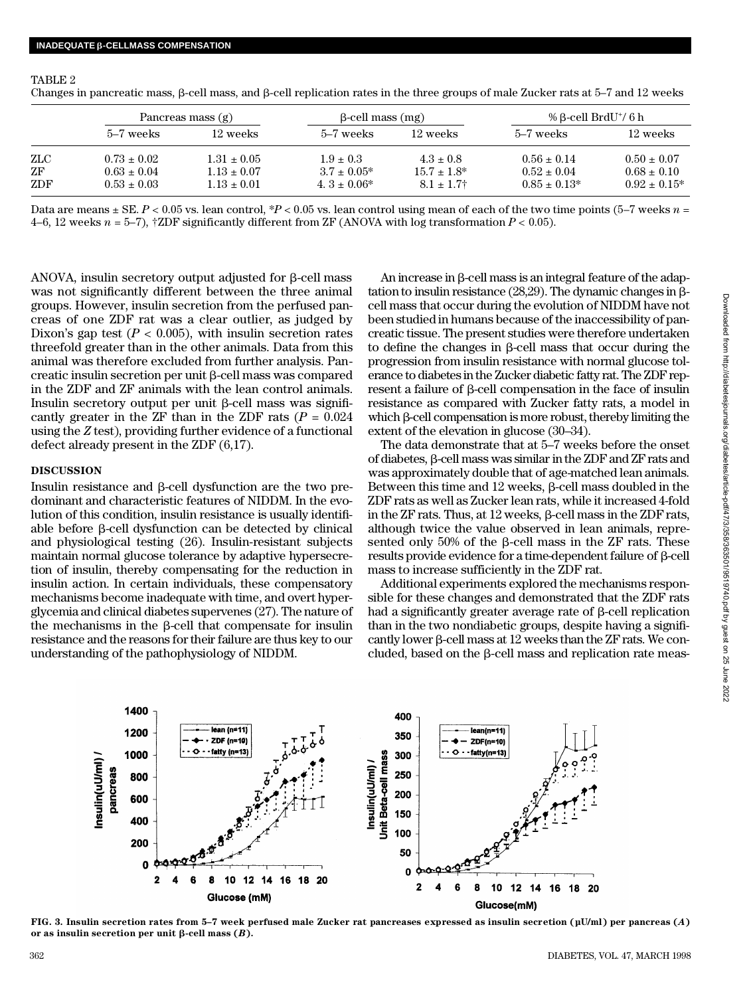TABLE 2

Changes in pancreatic mass, b-cell mass, and b-cell replication rates in the three groups of male Zucker rats at 5–7 and 12 weeks

|     | Pancreas mass (g) |                 | $\beta$ -cell mass $(mg)$ |                  | % B-cell BrdU <sup>+</sup> / 6 h |                   |
|-----|-------------------|-----------------|---------------------------|------------------|----------------------------------|-------------------|
|     | 5–7 weeks         | 12 weeks        | 5–7 weeks                 | 12 weeks         | 5–7 weeks                        | 12 weeks          |
| ZLC | $0.73 \pm 0.02$   | $1.31 \pm 0.05$ | $1.9 + 0.3$               | $4.3 \pm 0.8$    | $0.56 \pm 0.14$                  | $0.50 \pm 0.07$   |
| ZF  | $0.63 \pm 0.04$   | $1.13 \pm 0.07$ | $3.7 \pm 0.05^*$          | $15.7 \pm 1.8^*$ | $0.52 \pm 0.04$                  | $0.68 \pm 0.10$   |
| ZDF | $0.53 \pm 0.03$   | $1.13 \pm 0.01$ | $4.3 \pm 0.06^*$          | $8.1 \pm 1.7^+$  | $0.85 \pm 0.13^*$                | $0.92 \pm 0.15^*$ |

Data are means ± SE. *P* < 0.05 vs. lean control, \**P* < 0.05 vs. lean control using mean of each of the two time points (5–7 weeks *n* = 4–6, 12 weeks *n* = 5–7), †ZDF significantly different from ZF (ANOVA with log transformation *P* < 0.05).

ANOVA, insulin secretory output adjusted for  $\beta$ -cell mass was not significantly different between the three animal groups. However, insulin secretion from the perfused pancreas of one ZDF rat was a clear outlier, as judged by Dixon's gap test  $(P < 0.005)$ , with insulin secretion rates threefold greater than in the other animals. Data from this animal was therefore excluded from further analysis. Pancreatic insulin secretion per unit  $\beta$ -cell mass was compared in the ZDF and ZF animals with the lean control animals. Insulin secretory output per unit  $\beta$ -cell mass was significantly greater in the ZF than in the ZDF rats  $(P = 0.024)$ using the *Z* test), providing further evidence of a functional defect already present in the ZDF (6,17).

## **DISCUSSION**

Insulin resistance and b-cell dysfunction are the two predominant and characteristic features of NIDDM. In the evolution of this condition, insulin resistance is usually identifiable before  $\beta$ -cell dysfunction can be detected by clinical and physiological testing (26). Insulin-resistant subjects maintain normal glucose tolerance by adaptive hypersecretion of insulin, thereby compensating for the reduction in insulin action. In certain individuals, these compensatory mechanisms become inadequate with time, and overt hyperglycemia and clinical diabetes supervenes (27). The nature of the mechanisms in the  $\beta$ -cell that compensate for insulin resistance and the reasons for their failure are thus key to our understanding of the pathophysiology of NIDDM.

An increase in  $\beta$ -cell mass is an integral feature of the adaptation to insulin resistance (28,29). The dynamic changes in bcell mass that occur during the evolution of NIDDM have not been studied in humans because of the inaccessibility of pancreatic tissue. The present studies were therefore undertaken to define the changes in  $\beta$ -cell mass that occur during the progression from insulin resistance with normal glucose tolerance to diabetes in the Zucker diabetic fatty rat. The ZDF represent a failure of  $\beta$ -cell compensation in the face of insulin resistance as compared with Zucker fatty rats, a model in which  $\beta$ -cell compensation is more robust, thereby limiting the extent of the elevation in glucose (30–34).

The data demonstrate that at 5–7 weeks before the onset of diabetes, b-cell mass was similar in the ZDF and ZF rats and was approximately double that of age-matched lean animals. Between this time and 12 weeks,  $\beta$ -cell mass doubled in the ZDF rats as well as Zucker lean rats, while it increased 4-fold in the ZF rats. Thus, at 12 weeks,  $\beta$ -cell mass in the ZDF rats, although twice the value observed in lean animals, represented only 50% of the  $\beta$ -cell mass in the ZF rats. These  $r$ esults provide evidence for a time-dependent failure of  $\beta$ -cell mass to increase sufficiently in the ZDF rat.

Additional experiments explored the mechanisms responsible for these changes and demonstrated that the ZDF rats had a significantly greater average rate of  $\beta$ -cell replication than in the two nondiabetic groups, despite having a significantly lower  $\beta$ -cell mass at 12 weeks than the ZF rats. We concluded, based on the  $\beta$ -cell mass and replication rate meas-



**F I G. 3. Insulin secretion rates from 5–7 week perfused male Zucker rat pancreases expressed as insulin secretion (µU/ml) per pancreas (***A***)** or as insulin secretion per unit  $\beta$ -cell mass  $(B)$ .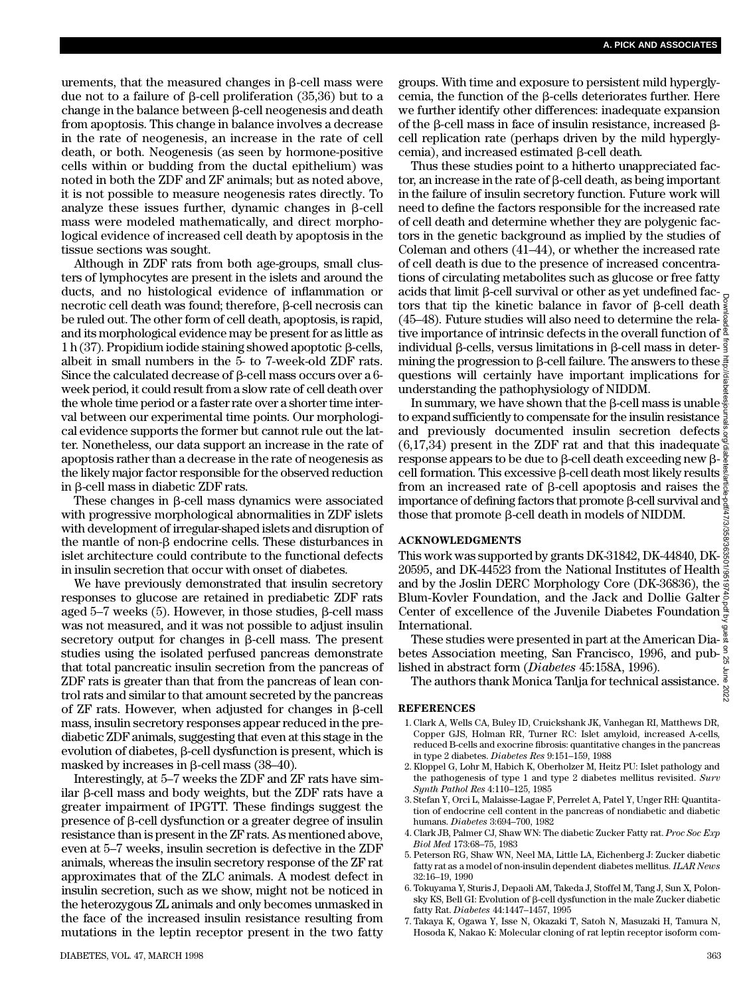urements, that the measured changes in  $\beta$ -cell mass were due not to a failure of  $\beta$ -cell proliferation (35,36) but to a change in the balance between  $\beta$ -cell neogenesis and death from apoptosis. This change in balance involves a decrease in the rate of neogenesis, an increase in the rate of cell death, or both. Neogenesis (as seen by hormone-positive cells within or budding from the ductal epithelium) was noted in both the ZDF and ZF animals; but as noted above, it is not possible to measure neogenesis rates directly. To analyze these issues further, dynamic changes in  $\beta$ -cell mass were modeled mathematically, and direct morphological evidence of increased cell death by apoptosis in the tissue sections was sought.

Although in ZDF rats from both age-groups, small clusters of lymphocytes are present in the islets and around the ducts, and no histological evidence of inflammation or necrotic cell death was found; therefore,  $\beta$ -cell necrosis can be ruled out. The other form of cell death, apoptosis, is rapid, and its morphological evidence may be present for as little as 1 h (37). Propidium iodide staining showed apoptotic  $\beta$ -cells, albeit in small numbers in the 5- to 7-week-old ZDF rats. Since the calculated decrease of b-cell mass occurs over a 6 week period, it could result from a slow rate of cell death over the whole time period or a faster rate over a shorter time interval between our experimental time points. Our morphological evidence supports the former but cannot rule out the latter. Nonetheless, our data support an increase in the rate of apoptosis rather than a decrease in the rate of neogenesis as the likely major factor responsible for the observed reduction in b-cell mass in diabetic ZDF rats.

These changes in b-cell mass dynamics were associated with progressive morphological abnormalities in ZDF islets with development of irregular-shaped islets and disruption of the mantle of non-b endocrine cells. These disturbances in islet architecture could contribute to the functional defects in insulin secretion that occur with onset of diabetes.

We have previously demonstrated that insulin secretory responses to glucose are retained in prediabetic ZDF rats aged  $5-7$  weeks (5). However, in those studies,  $\beta$ -cell mass was not measured, and it was not possible to adjust insulin secretory output for changes in  $\beta$ -cell mass. The present studies using the isolated perfused pancreas demonstrate that total pancreatic insulin secretion from the pancreas of ZDF rats is greater than that from the pancreas of lean control rats and similar to that amount secreted by the pancreas of  $ZF$  rats. However, when adjusted for changes in  $\beta$ -cell mass, insulin secretory responses appear reduced in the prediabetic ZDF animals, suggesting that even at this stage in the evolution of diabetes,  $\beta$ -cell dysfunction is present, which is masked by increases in  $\beta$ -cell mass (38–40).

Interestingly, at 5–7 weeks the ZDF and ZF rats have similar  $\beta$ -cell mass and body weights, but the ZDF rats have a greater impairment of IPGTT. These findings suggest the presence of b-cell dysfunction or a greater degree of insulin resistance than is present in the ZF rats. As mentioned above, even at 5–7 weeks, insulin secretion is defective in the ZDF animals, whereas the insulin secretory response of the ZF rat approximates that of the ZLC animals. A modest defect in insulin secretion, such as we show, might not be noticed in the heterozygous ZL animals and only becomes unmasked in the face of the increased insulin resistance resulting from mutations in the leptin receptor present in the two fatty

groups. With time and exposure to persistent mild hyperglycemia, the function of the b-cells deteriorates further. Here we further identify other differences: inadequate expansion of the  $\beta$ -cell mass in face of insulin resistance, increased  $\beta$ cell replication rate (perhaps driven by the mild hyperglycemia), and increased estimated  $\beta$ -cell death.

Thus these studies point to a hitherto unappreciated factor, an increase in the rate of  $\beta$ -cell death, as being important in the failure of insulin secretory function. Future work will need to define the factors responsible for the increased rate of cell death and determine whether they are polygenic factors in the genetic background as implied by the studies of Coleman and others (41–44), or whether the increased rate of cell death is due to the presence of increased concentrations of circulating metabolites such as glucose or free fatty acids that limit  $\beta$ -cell survival or other as yet undefined factors that tip the kinetic balance in favor of  $\beta$ -cell death  $\frac{2}{3}$ (45–48). Future studies will also need to determine the rela- $\frac{8}{8}$ tive importance of intrinsic defects in the overall function of individual  $\beta$ -cells, versus limitations in  $\beta$ -cell mass in deter- $\frac{3}{5}$ mining the progression to  $\beta$ -cell failure. The answers to these  $\frac{3}{6}$ questions will certainly have important implications for  $\geq$ understanding the pathophysiology of NIDDM.

In summary, we have shown that the  $\beta$ -cell mass is unable  $\frac{8}{6}$ to expand sufficiently to compensate for the insulin resistance  $\frac{1}{6}$ and previously documented insulin secretion defects (6,17,34) present in the ZDF rat and that this inadequate response appears to be due to  $\beta$ -cell death exceeding new  $\beta$ cell formation. This excessive  $\beta$ -cell death most likely results  $\frac{9}{8}$ from an increased rate of  $\beta$ -cell apoptosis and raises the  $\frac{3}{2}$ importance of defining factors that promote  $\beta$ -cell survival and those that promote  $\beta$ -cell death in models of NIDDM. Downloaded from http://diabetesjournals.org/diabetes/article-pdf/47/3/358/363501/9519740.pdf by guest on 25 June 2022

#### **A C K N O W L E D G M E N T S**

This work was supported by grants DK-31842, DK-44840, DK-20595, and DK-44523 from the National Institutes of Health  $\frac{3}{9}$ and by the Joslin DERC Morphology Core (DK-36836), the Blum-Kovler Foundation, and the Jack and Dollie Galter Center of excellence of the Juvenile Diabetes Foundation International.

These studies were presented in part at the American Diabetes Association meeting, San Francisco, 1996, and published in abstract form (*Diabetes* 45:158A, 1996).

The authors thank Monica Tanlja for technical assistance. 2022

#### **R E F E R E N C E S**

- 1.Clark A, Wells CA, Buley ID, Cruickshank JK, Vanhegan RI, Matthews DR, Copper GJS, Holman RR, Turner RC: Islet amyloid, increased A-cells, reduced B-cells and exocrine fibrosis: quantitative changes in the pancreas in type 2 diabetes. *Diabetes Res* 9:151–159, 1988
- 2. Kloppel G, Lohr M, Habich K, Oberholzer M, Heitz PU: Islet pathology and the pathogenesis of type 1 and type 2 diabetes mellitus revisited. *Surv Synth Pathol Res* 4:110–125, 1985
- 3. Stefan Y, Orci L, Malaisse-Lagae F, Perrelet A, Patel Y, Unger RH: Quantitation of endocrine cell content in the pancreas of nondiabetic and diabetic humans. *Diabetes* 3:694–700, 1982
- 4. Clark JB, Palmer CJ, Shaw WN: The diabetic Zucker Fatty rat. *Proc Soc Exp Biol Med* 173:68–75, 1983
- 5. Peterson RG, Shaw WN, Neel MA, Little LA, Eichenberg J: Zucker diabetic fatty rat as a model of non-insulin dependent diabetes mellitus. *ILAR News* 32:16–19, 1990
- 6. Tokuyama Y, Sturis J, Depaoli AM, Takeda J, Stoffel M, Tang J, Sun X, Polonsky KS, Bell GI: Evolution of  $\beta$ -cell dysfunction in the male Zucker diabetic fatty Rat. *Diabetes* 44:1447–1457, 1995
- 7. Takaya K, Ogawa Y, Isse N, Okazaki T, Satoh N, Masuzaki H, Tamura N, Hosoda K, Nakao K: Molecular cloning of rat leptin receptor isoform com-